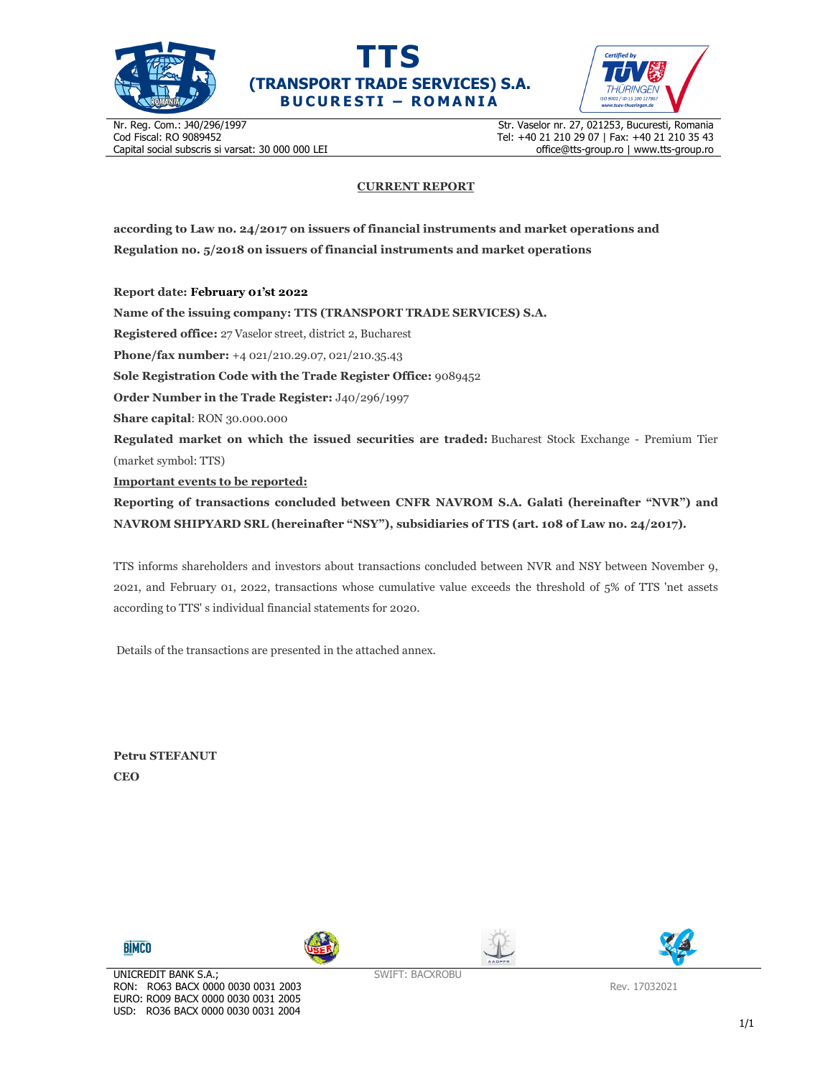





Nr. Reg. Com.: J40/296/1997 Cod Fiscal: RO 9089452 Capital social subscris si varsat: 30 000 000 LEI Str. Vaselor nr. 27, 021253, Bucuresti, Romania Tel: +40 21 210 29 07 | Fax: +40 21 210 35 43 office@tts-group.ro | www.tts-group.ro

## **CURRENT REPORT**

**according to Law no. 24/2017 on issuers of financial instruments and market operations and Regulation no. 5/2018 on issuers of financial instruments and market operations** 

**Report date: February 01'st 2022**

**Name of the issuing company: TTS (TRANSPORT TRADE SERVICES) S.A. Registered office:** 27 Vaselor street, district 2, Bucharest **Phone/fax number:** +4 021/210.29.07, 021/210.35.43 **Sole Registration Code with the Trade Register Office:** 9089452 **Order Number in the Trade Register:** J40/296/1997 **Share capital**: RON 30.000.000 **Regulated market on which the issued securities are traded:** Bucharest Stock Exchange - Premium Tier (market symbol: TTS) **Important events to be reported: Reporting of transactions concluded between CNFR NAVROM S.A. Galati (hereinafter "NVR") and NAVROM SHIPYARD SRL (hereinafter "NSY"), subsidiaries of TTS (art. 108 of Law no. 24/2017).** 

TTS informs shareholders and investors about transactions concluded between NVR and NSY between November 9, 2021, and February 01, 2022, transactions whose cumulative value exceeds the threshold of 5% of TTS 'net assets according to TTS' s individual financial statements for 2020.

Details of the transactions are presented in the attached annex.

**Petru STEFANUT CEO** 









SWIFT: BACXROBU

Rev. 17032021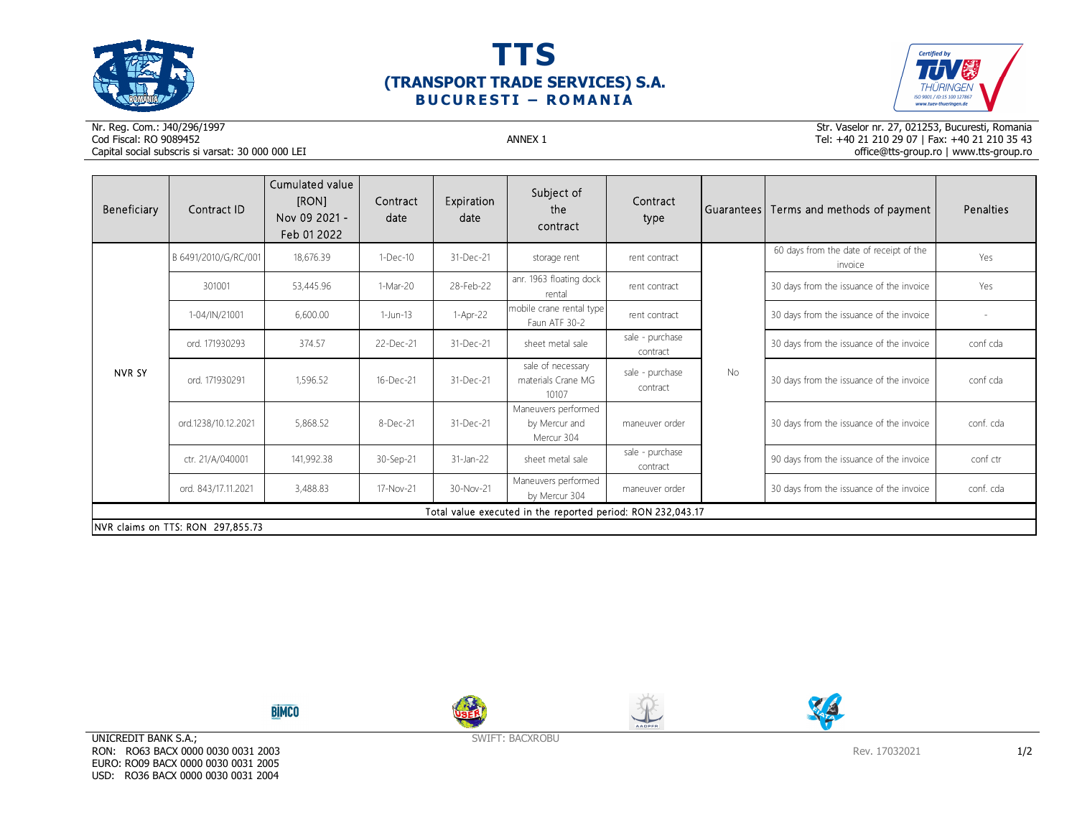





Nr. Reg. Com.: J40/296/1997Cod Fiscal: RO 9089452 ANNEX 1 Capital social subscris si varsat: 30 000 000 LEI

Str. Vaselor nr. 27, 021253, Bucuresti, Romania Tel: +40 21 210 29 07 | Fax: +40 21 210 35 43 office@tts-group.ro | www.tts-group.ro

| Beneficiary                       | Contract ID                                                 | Cumulated value<br>[RON]<br>Nov 09 2021 -<br>Feb 01 2022 | Contract<br>date | Expiration<br>date | Subject of<br>the<br>contract                      | Contract<br>type            |           | Guarantees Terms and methods of payment            | Penalties |  |  |
|-----------------------------------|-------------------------------------------------------------|----------------------------------------------------------|------------------|--------------------|----------------------------------------------------|-----------------------------|-----------|----------------------------------------------------|-----------|--|--|
| NVR SY                            | B 6491/2010/G/RC/001                                        | 18,676.39                                                | $1-Dec-10$       | 31-Dec-21          | storage rent                                       | rent contract               | <b>No</b> | 60 days from the date of receipt of the<br>invoice | Yes       |  |  |
|                                   | 301001                                                      | 53,445.96                                                | 1-Mar-20         | 28-Feb-22          | anr. 1963 floating dock<br>rental                  | rent contract               |           | 30 days from the issuance of the invoice           | Yes       |  |  |
|                                   | 1-04/IN/21001                                               | 6,600.00                                                 | 1-Jun-13         | $1-Apr-22$         | mobile crane rental type<br>Faun ATF 30-2          | rent contract               |           | 30 days from the issuance of the invoice           |           |  |  |
|                                   | ord. 171930293                                              | 374.57                                                   | 22-Dec-21        | 31-Dec-21          | sheet metal sale                                   | sale - purchase<br>contract |           | 30 days from the issuance of the invoice           | conf cda  |  |  |
|                                   | ord. 171930291                                              | 1,596.52                                                 | 16-Dec-21        | 31-Dec-21          | sale of necessary<br>materials Crane MG<br>10107   | sale - purchase<br>contract |           | 30 days from the issuance of the invoice           | conf cda  |  |  |
|                                   | ord.1238/10.12.2021                                         | 5,868.52                                                 | 8-Dec-21         | 31-Dec-21          | Maneuvers performed<br>by Mercur and<br>Mercur 304 | maneuver order              |           | 30 days from the issuance of the invoice           | conf. cda |  |  |
|                                   | ctr. 21/A/040001                                            | 141,992.38                                               | 30-Sep-21        | 31-Jan-22          | sheet metal sale                                   | sale - purchase<br>contract |           | 90 days from the issuance of the invoice           | conf ctr  |  |  |
|                                   | ord. 843/17.11.2021                                         | 3,488.83                                                 | 17-Nov-21        | 30-Nov-21          | Maneuvers performed<br>by Mercur 304               | maneuver order              |           | 30 days from the issuance of the invoice           | conf. cda |  |  |
|                                   | Total value executed in the reported period: RON 232,043.17 |                                                          |                  |                    |                                                    |                             |           |                                                    |           |  |  |
| NVR claims on TTS: RON 297,855.73 |                                                             |                                                          |                  |                    |                                                    |                             |           |                                                    |           |  |  |

**BİMCO** 







UNICREDIT BANK S.A.; RON: RO63 BACX 0000 0030 0031 2003 EURO: RO09 BACX 0000 0030 0031 2005 USD: RO36 BACX 0000 0030 0031 2004

SWIFT: BACXROBU